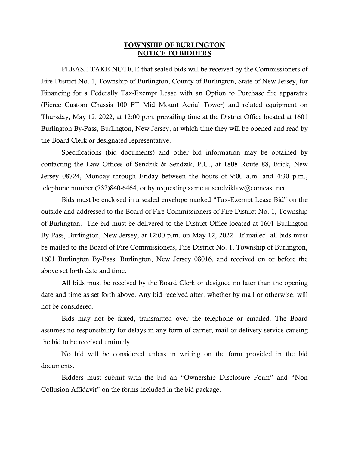## TOWNSHIP OF BURLINGTON NOTICE TO BIDDERS

PLEASE TAKE NOTICE that sealed bids will be received by the Commissioners of Fire District No. 1, Township of Burlington, County of Burlington, State of New Jersey, for Financing for a Federally Tax-Exempt Lease with an Option to Purchase fire apparatus (Pierce Custom Chassis 100 FT Mid Mount Aerial Tower) and related equipment on Thursday, May 12, 2022, at 12:00 p.m. prevailing time at the District Office located at 1601 Burlington By-Pass, Burlington, New Jersey, at which time they will be opened and read by the Board Clerk or designated representative.

Specifications (bid documents) and other bid information may be obtained by contacting the Law Offices of Sendzik & Sendzik, P.C., at 1808 Route 88, Brick, New Jersey 08724, Monday through Friday between the hours of 9:00 a.m. and 4:30 p.m., telephone number (732)840-6464, or by requesting same at sendziklaw@comcast.net.

Bids must be enclosed in a sealed envelope marked "Tax-Exempt Lease Bid" on the outside and addressed to the Board of Fire Commissioners of Fire District No. 1, Township of Burlington. The bid must be delivered to the District Office located at 1601 Burlington By-Pass, Burlington, New Jersey, at 12:00 p.m. on May 12, 2022. If mailed, all bids must be mailed to the Board of Fire Commissioners, Fire District No. 1, Township of Burlington, 1601 Burlington By-Pass, Burlington, New Jersey 08016, and received on or before the above set forth date and time.

All bids must be received by the Board Clerk or designee no later than the opening date and time as set forth above. Any bid received after, whether by mail or otherwise, will not be considered.

Bids may not be faxed, transmitted over the telephone or emailed. The Board assumes no responsibility for delays in any form of carrier, mail or delivery service causing the bid to be received untimely.

No bid will be considered unless in writing on the form provided in the bid documents.

Bidders must submit with the bid an "Ownership Disclosure Form" and "Non Collusion Affidavit" on the forms included in the bid package.